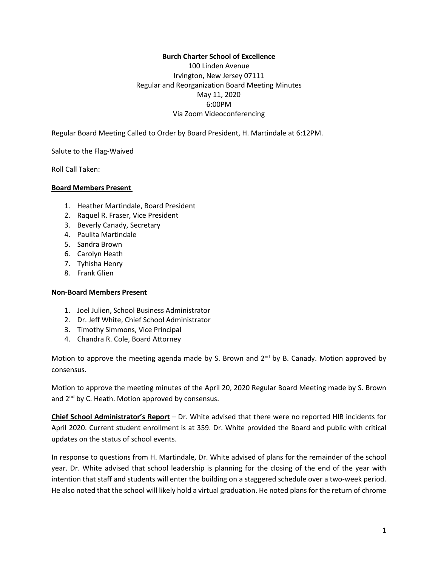#### **Burch Charter School of Excellence**

100 Linden Avenue Irvington, New Jersey 07111 Regular and Reorganization Board Meeting Minutes May 11, 2020 6:00PM Via Zoom Videoconferencing

Regular Board Meeting Called to Order by Board President, H. Martindale at 6:12PM.

Salute to the Flag-Waived

Roll Call Taken:

#### **Board Members Present**

- 1. Heather Martindale, Board President
- 2. Raquel R. Fraser, Vice President
- 3. Beverly Canady, Secretary
- 4. Paulita Martindale
- 5. Sandra Brown
- 6. Carolyn Heath
- 7. Tyhisha Henry
- 8. Frank Glien

#### **Non-Board Members Present**

- 1. Joel Julien, School Business Administrator
- 2. Dr. Jeff White, Chief School Administrator
- 3. Timothy Simmons, Vice Principal
- 4. Chandra R. Cole, Board Attorney

Motion to approve the meeting agenda made by S. Brown and 2<sup>nd</sup> by B. Canady. Motion approved by consensus.

Motion to approve the meeting minutes of the April 20, 2020 Regular Board Meeting made by S. Brown and 2<sup>nd</sup> by C. Heath. Motion approved by consensus.

**Chief School Administrator's Report** – Dr. White advised that there were no reported HIB incidents for April 2020. Current student enrollment is at 359. Dr. White provided the Board and public with critical updates on the status of school events.

In response to questions from H. Martindale, Dr. White advised of plans for the remainder of the school year. Dr. White advised that school leadership is planning for the closing of the end of the year with intention that staff and students will enter the building on a staggered schedule over a two-week period. He also noted that the school will likely hold a virtual graduation. He noted plans for the return of chrome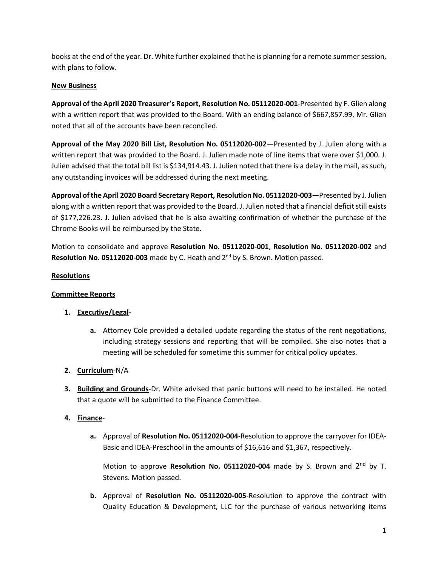books at the end of the year. Dr. White further explained that he is planning for a remote summersession, with plans to follow.

### **New Business**

**Approval of the April 2020 Treasurer's Report, Resolution No. 05112020-001**-Presented by F. Glien along with a written report that was provided to the Board. With an ending balance of \$667,857.99, Mr. Glien noted that all of the accounts have been reconciled.

**Approval of the May 2020 Bill List, Resolution No. 05112020-002—**Presented by J. Julien along with a written report that was provided to the Board. J. Julien made note of line items that were over \$1,000. J. Julien advised that the total bill list is \$134,914.43. J. Julien noted that there is a delay in the mail, as such, any outstanding invoices will be addressed during the next meeting.

**Approval ofthe April 2020 Board Secretary Report, Resolution No. 05112020-003—**Presented by J. Julien along with a written report that was provided to the Board. J. Julien noted that a financial deficit still exists of \$177,226.23. J. Julien advised that he is also awaiting confirmation of whether the purchase of the Chrome Books will be reimbursed by the State.

Motion to consolidate and approve **Resolution No. 05112020-001**, **Resolution No. 05112020-002** and Resolution No. 05112020-003 made by C. Heath and 2<sup>nd</sup> by S. Brown. Motion passed.

# **Resolutions**

# **Committee Reports**

# **1. Executive/Legal**-

**a.** Attorney Cole provided a detailed update regarding the status of the rent negotiations, including strategy sessions and reporting that will be compiled. She also notes that a meeting will be scheduled for sometime this summer for critical policy updates.

# **2. Curriculum**-N/A

**3. Building and Grounds**-Dr. White advised that panic buttons will need to be installed. He noted that a quote will be submitted to the Finance Committee.

# **4. Finance**-

**a.** Approval of **Resolution No. 05112020-004**-Resolution to approve the carryover for IDEA-Basic and IDEA-Preschool in the amounts of \$16,616 and \$1,367, respectively.

Motion to approve Resolution No. 05112020-004 made by S. Brown and 2<sup>nd</sup> by T. Stevens. Motion passed.

**b.** Approval of **Resolution No. 05112020-005**-Resolution to approve the contract with Quality Education & Development, LLC for the purchase of various networking items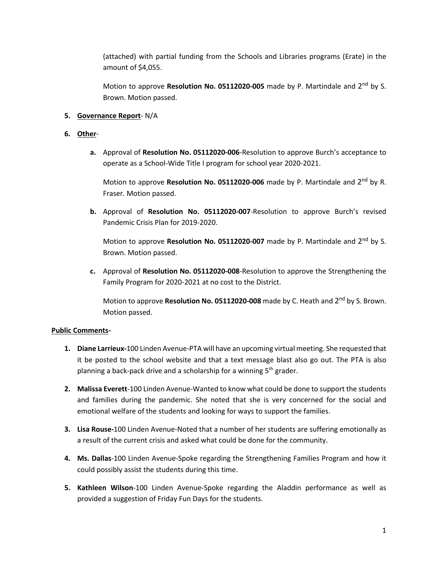(attached) with partial funding from the Schools and Libraries programs (Erate) in the amount of \$4,055.

Motion to approve Resolution No. 05112020-005 made by P. Martindale and 2<sup>nd</sup> by S. Brown. Motion passed.

### **5. Governance Report**- N/A

### **6. Other**-

**a.** Approval of **Resolution No. 05112020-006**-Resolution to approve Burch's acceptance to operate as a School-Wide Title I program for school year 2020-2021.

Motion to approve Resolution No. 05112020-006 made by P. Martindale and 2<sup>nd</sup> by R. Fraser. Motion passed.

**b.** Approval of **Resolution No. 05112020-007**-Resolution to approve Burch's revised Pandemic Crisis Plan for 2019-2020.

Motion to approve Resolution No. 05112020-007 made by P. Martindale and 2<sup>nd</sup> by S. Brown. Motion passed.

**c.** Approval of **Resolution No. 05112020-008**-Resolution to approve the Strengthening the Family Program for 2020-2021 at no cost to the District.

Motion to approve **Resolution No. 05112020-008** made by C. Heath and 2<sup>nd</sup> by S. Brown. Motion passed.

#### **Public Comments-**

- **1. Diane Larrieux-**100 Linden Avenue-PTA will have an upcoming virtual meeting. She requested that it be posted to the school website and that a text message blast also go out. The PTA is also planning a back-pack drive and a scholarship for a winning 5<sup>th</sup> grader.
- **2. Malissa Everett**-100 Linden Avenue-Wanted to know what could be done to support the students and families during the pandemic. She noted that she is very concerned for the social and emotional welfare of the students and looking for ways to support the families.
- **3. Lisa Rouse-**100 Linden Avenue-Noted that a number of her students are suffering emotionally as a result of the current crisis and asked what could be done for the community.
- **4. Ms. Dallas**-100 Linden Avenue-Spoke regarding the Strengthening Families Program and how it could possibly assist the students during this time.
- **5. Kathleen Wilson**-100 Linden Avenue-Spoke regarding the Aladdin performance as well as provided a suggestion of Friday Fun Days for the students.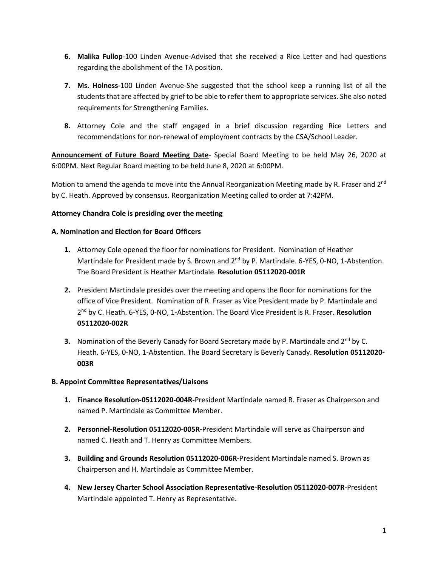- **6. Malika Fullop**-100 Linden Avenue-Advised that she received a Rice Letter and had questions regarding the abolishment of the TA position.
- **7. Ms. Holness-**100 Linden Avenue-She suggested that the school keep a running list of all the students that are affected by grief to be able to refer them to appropriate services. She also noted requirements for Strengthening Families.
- **8.** Attorney Cole and the staff engaged in a brief discussion regarding Rice Letters and recommendations for non-renewal of employment contracts by the CSA/School Leader.

**Announcement of Future Board Meeting Date**- Special Board Meeting to be held May 26, 2020 at 6:00PM. Next Regular Board meeting to be held June 8, 2020 at 6:00PM.

Motion to amend the agenda to move into the Annual Reorganization Meeting made by R. Fraser and 2<sup>nd</sup> by C. Heath. Approved by consensus. Reorganization Meeting called to order at 7:42PM.

### **Attorney Chandra Cole is presiding over the meeting**

#### **A. Nomination and Election for Board Officers**

- **1.** Attorney Cole opened the floor for nominations for President. Nomination of Heather Martindale for President made by S. Brown and 2<sup>nd</sup> by P. Martindale. 6-YES, 0-NO, 1-Abstention. The Board President is Heather Martindale. **Resolution 05112020-001R**
- **2.** President Martindale presides over the meeting and opens the floor for nominations for the office of Vice President. Nomination of R. Fraser as Vice President made by P. Martindale and 2 nd by C. Heath. 6-YES, 0-NO, 1-Abstention. The Board Vice President is R. Fraser. **Resolution 05112020-002R**
- **3.** Nomination of the Beverly Canady for Board Secretary made by P. Martindale and 2<sup>nd</sup> by C. Heath. 6-YES, 0-NO, 1-Abstention. The Board Secretary is Beverly Canady. **Resolution 05112020- 003R**

#### **B. Appoint Committee Representatives/Liaisons**

- **1. Finance Resolution-05112020-004R-**President Martindale named R. Fraser as Chairperson and named P. Martindale as Committee Member.
- **2. Personnel-Resolution 05112020-005R-**President Martindale will serve as Chairperson and named C. Heath and T. Henry as Committee Members.
- **3. Building and Grounds Resolution 05112020-006R-**President Martindale named S. Brown as Chairperson and H. Martindale as Committee Member.
- **4. New Jersey Charter School Association Representative-Resolution 05112020-007R-**President Martindale appointed T. Henry as Representative.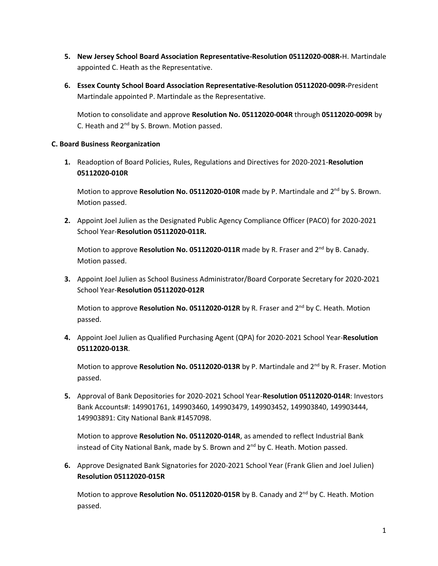- **5. New Jersey School Board Association Representative-Resolution 05112020-008R-**H. Martindale appointed C. Heath as the Representative.
- **6. Essex County School Board Association Representative-Resolution 05112020-009R-**President Martindale appointed P. Martindale as the Representative.

Motion to consolidate and approve **Resolution No. 05112020-004R** through **05112020-009R** by C. Heath and 2<sup>nd</sup> by S. Brown. Motion passed.

### **C. Board Business Reorganization**

**1.** Readoption of Board Policies, Rules, Regulations and Directives for 2020-2021-**Resolution 05112020-010R**

Motion to approve Resolution No. 05112020-010R made by P. Martindale and 2<sup>nd</sup> by S. Brown. Motion passed.

**2.** Appoint Joel Julien as the Designated Public Agency Compliance Officer (PACO) for 2020-2021 School Year-**Resolution 05112020-011R.**

Motion to approve Resolution No. 05112020-011R made by R. Fraser and 2<sup>nd</sup> by B. Canady. Motion passed.

**3.** Appoint Joel Julien as School Business Administrator/Board Corporate Secretary for 2020-2021 School Year-**Resolution 05112020-012R**

Motion to approve Resolution No. 05112020-012R by R. Fraser and 2<sup>nd</sup> by C. Heath. Motion passed.

**4.** Appoint Joel Julien as Qualified Purchasing Agent (QPA) for 2020-2021 School Year-**Resolution 05112020-013R**.

Motion to approve Resolution No. 05112020-013R by P. Martindale and 2<sup>nd</sup> by R. Fraser. Motion passed.

**5.** Approval of Bank Depositories for 2020-2021 School Year-**Resolution 05112020-014R**: Investors Bank Accounts#: 149901761, 149903460, 149903479, 149903452, 149903840, 149903444, 149903891: City National Bank #1457098.

Motion to approve **Resolution No. 05112020-014R**, as amended to reflect Industrial Bank instead of City National Bank, made by S. Brown and 2<sup>nd</sup> by C. Heath. Motion passed.

**6.** Approve Designated Bank Signatories for 2020-2021 School Year (Frank Glien and Joel Julien) **Resolution 05112020-015R**

Motion to approve **Resolution No. 05112020-015R** by B. Canady and 2 nd by C. Heath. Motion passed.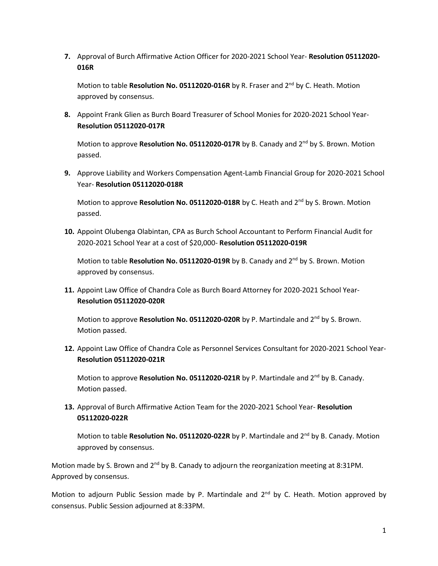**7.** Approval of Burch Affirmative Action Officer for 2020-2021 School Year- **Resolution 05112020- 016R**

Motion to table **Resolution No. 05112020-016R** by R. Fraser and 2 nd by C. Heath. Motion approved by consensus.

**8.** Appoint Frank Glien as Burch Board Treasurer of School Monies for 2020-2021 School Year-**Resolution 05112020-017R**

Motion to approve Resolution No. 05112020-017R by B. Canady and 2<sup>nd</sup> by S. Brown. Motion passed.

**9.** Approve Liability and Workers Compensation Agent-Lamb Financial Group for 2020-2021 School Year- **Resolution 05112020-018R**

Motion to approve Resolution No. 05112020-018R by C. Heath and 2<sup>nd</sup> by S. Brown. Motion passed.

**10.** Appoint Olubenga Olabintan, CPA as Burch School Accountant to Perform Financial Audit for 2020-2021 School Year at a cost of \$20,000- **Resolution 05112020-019R**

Motion to table Resolution No. 05112020-019R by B. Canady and 2<sup>nd</sup> by S. Brown. Motion approved by consensus.

**11.** Appoint Law Office of Chandra Cole as Burch Board Attorney for 2020-2021 School Year-**Resolution 05112020-020R**

Motion to approve Resolution No. 05112020-020R by P. Martindale and 2<sup>nd</sup> by S. Brown. Motion passed.

**12.** Appoint Law Office of Chandra Cole as Personnel Services Consultant for 2020-2021 School Year-**Resolution 05112020-021R**

Motion to approve Resolution No. 05112020-021R by P. Martindale and 2<sup>nd</sup> by B. Canady. Motion passed.

**13.** Approval of Burch Affirmative Action Team for the 2020-2021 School Year- **Resolution 05112020-022R**

Motion to table Resolution No. 05112020-022R by P. Martindale and 2<sup>nd</sup> by B. Canady. Motion approved by consensus.

Motion made by S. Brown and  $2^{nd}$  by B. Canady to adjourn the reorganization meeting at 8:31PM. Approved by consensus.

Motion to adjourn Public Session made by P. Martindale and 2<sup>nd</sup> by C. Heath. Motion approved by consensus. Public Session adjourned at 8:33PM.